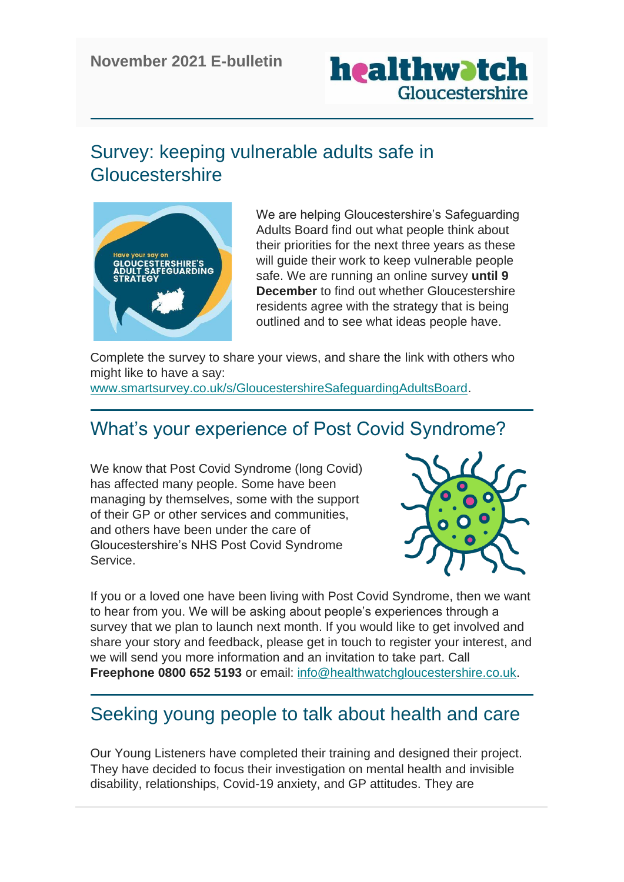

## Survey: keeping vulnerable adults safe in **Gloucestershire**



We are helping Gloucestershire's Safeguarding Adults Board find out what people think about their priorities for the next three years as these will quide their work to keep vulnerable people safe. We are running an online survey **until 9 December** to find out whether Gloucestershire residents agree with the strategy that is being outlined and to see what ideas people have.

Complete the survey to share your views, and share the link with others who might like to have a say:

[www.smartsurvey.co.uk/s/GloucestershireSafeguardingAdultsBoard.](http://www.smartsurvey.co.uk/s/GloucestershireSafeguardingAdultsBoard/)

# What's your experience of Post Covid Syndrome?

We know that Post Covid Syndrome (long Covid) has affected many people. Some have been managing by themselves, some with the support of their GP or other services and communities, and others have been under the care of Gloucestershire's NHS Post Covid Syndrome Service.



If you or a loved one have been living with Post Covid Syndrome, then we want to hear from you. We will be asking about people's experiences through a survey that we plan to launch next month. If you would like to get involved and share your story and feedback, please get in touch to register your interest, and we will send you more information and an invitation to take part. Call **Freephone 0800 652 5193** or email: [info@healthwatchgloucestershire.co.uk.](mailto:info@healthwatchgloucestershire.co.uk)

## Seeking young people to talk about health and care

Our Young Listeners have completed their training and designed their project. They have decided to focus their investigation on mental health and invisible disability, relationships, Covid-19 anxiety, and GP attitudes. They are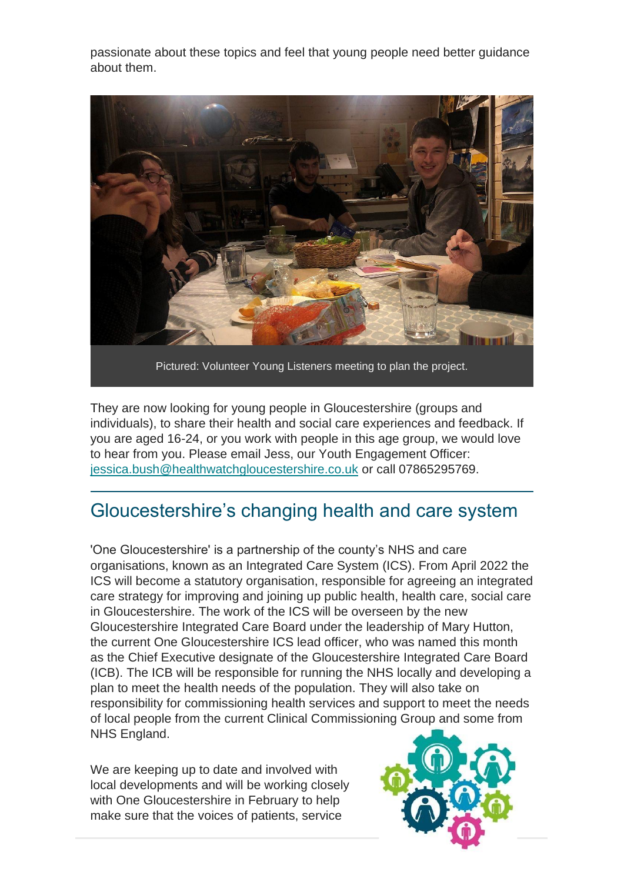passionate about these topics and feel that young people need better guidance about them.



Pictured: Volunteer Young Listeners meeting to plan the project.

They are now looking for young people in Gloucestershire (groups and individuals), to share their health and social care experiences and feedback. If you are aged 16-24, or you work with people in this age group, we would love to hear from you. Please email Jess, our Youth Engagement Officer: [jessica.bush@healthwatchgloucestershire.co.uk](mailto:jessica.bush@healthwatchgloucestershire.co.uk) or call 07865295769.

#### Gloucestershire's changing health and care system

'One Gloucestershire' is a partnership of the county's NHS and care organisations, known as an Integrated Care System (ICS). From April 2022 the ICS will become a statutory organisation, responsible for agreeing an integrated care strategy for improving and joining up public health, health care, social care in Gloucestershire. The work of the ICS will be overseen by the new Gloucestershire Integrated Care Board under the leadership of Mary Hutton, the current One Gloucestershire ICS lead officer, who was named this month as the Chief Executive designate of the Gloucestershire Integrated Care Board (ICB). The ICB will be responsible for running the NHS locally and developing a plan to meet the health needs of the population. They will also take on responsibility for commissioning health services and support to meet the needs of local people from the current Clinical Commissioning Group and some from NHS England.

We are keeping up to date and involved with local developments and will be working closely with One Gloucestershire in February to help make sure that the voices of patients, service

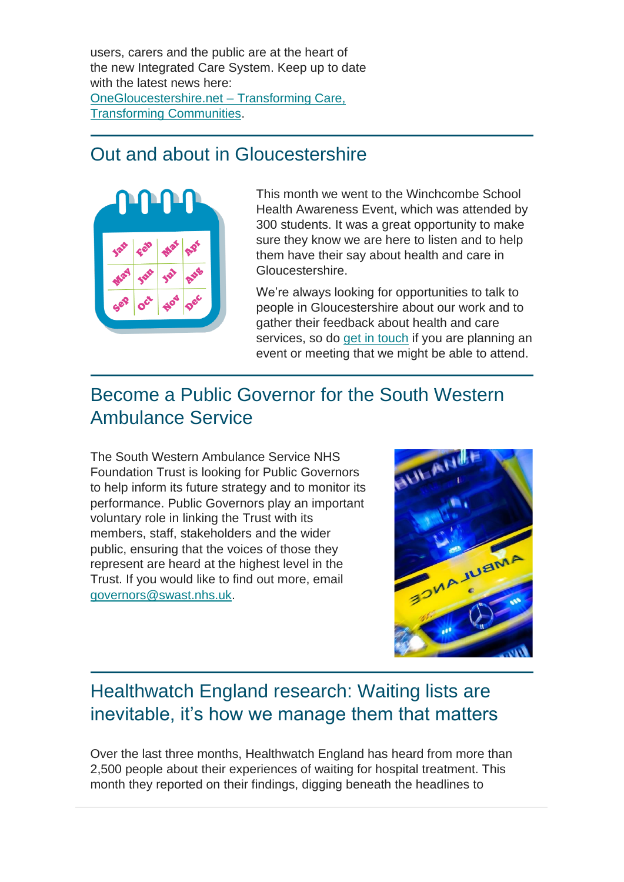users, carers and the public are at the heart of the new Integrated Care System. Keep up to date with the latest news here: [OneGloucestershire.net –](https://www.onegloucestershire.net/) Transforming Care, [Transforming Communities.](https://www.onegloucestershire.net/)

### Out and about in Gloucestershire



This month we went to the Winchcombe School Health Awareness Event, which was attended by 300 students. It was a great opportunity to make sure they know we are here to listen and to help them have their say about health and care in Gloucestershire.

We're always looking for opportunities to talk to people in Gloucestershire about our work and to gather their feedback about health and care services, so do [get in touch](https://www.healthwatchgloucestershire.co.uk/contact-us/) if you are planning an event or meeting that we might be able to attend.

## Become a Public Governor for the South Western Ambulance Service

The South Western Ambulance Service NHS Foundation Trust is looking for Public Governors to help inform its future strategy and to monitor its performance. Public Governors play an important voluntary role in linking the Trust with its members, staff, stakeholders and the wider public, ensuring that the voices of those they represent are heard at the highest level in the Trust. If you would like to find out more, email [governors@swast.nhs.uk.](mailto:governors@swast.nhs.uk)



# Healthwatch England research: Waiting lists are inevitable, it's how we manage them that matters

Over the last three months, Healthwatch England has heard from more than 2,500 people about their experiences of waiting for hospital treatment. This month they reported on their findings, digging beneath the headlines to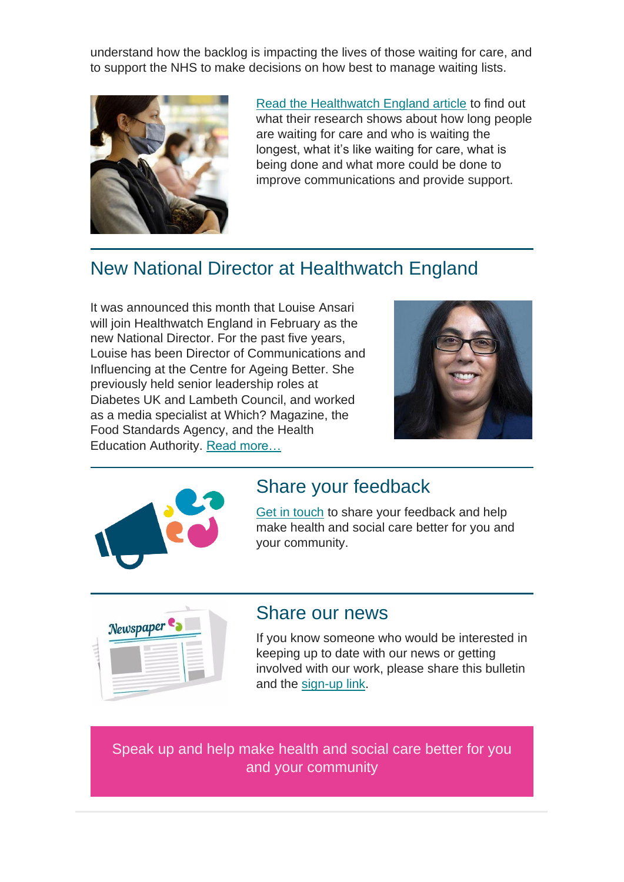understand how the backlog is impacting the lives of those waiting for care, and to support the NHS to make decisions on how best to manage waiting lists.



[Read the Healthwatch England article](https://www.healthwatch.co.uk/news/2021-11-08/waiting-lists-are-inevitable-its-how-we-manage-them-matters) to find out what their research shows about how long people are waiting for care and who is waiting the longest, what it's like waiting for care, what is being done and what more could be done to improve communications and provide support.

# New National Director at Healthwatch England

It was announced this month that Louise Ansari will join Healthwatch England in February as the new National Director. For the past five years, Louise has been Director of Communications and Influencing at the Centre for Ageing Better. She previously held senior leadership roles at Diabetes UK and Lambeth Council, and worked as a media specialist at Which? Magazine, the Food Standards Agency, and the Health Education Authority. [Read more…](https://www.healthwatch.co.uk/news/2021-11-18/louise-ansari-appointed-our-new-national-director)





#### Share your feedback

[Get in touch](https://www.healthwatchgloucestershire.co.uk/contact-us/) to share your feedback and help make health and social care better for you and your community.



#### Share our news

If you know someone who would be interested in keeping up to date with our news or getting involved with our work, please share this bulletin and the [sign-up link.](https://mailchi.mp/ac5e11f7f21b/gloucestershire)

Speak up and help make health and social care better for you and your community